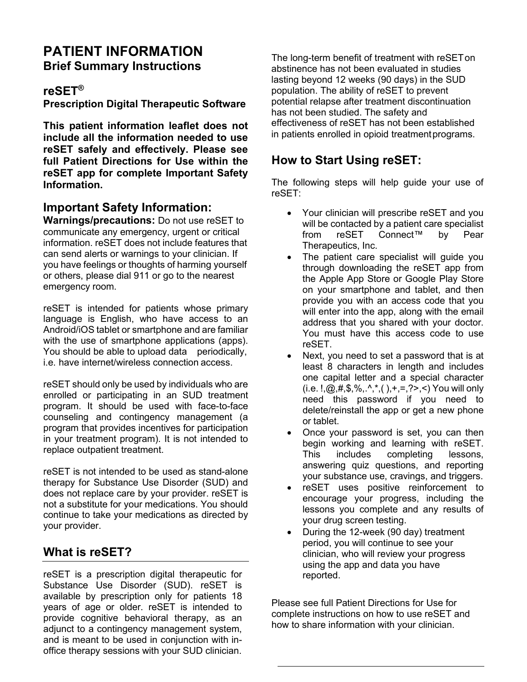# **PATIENT INFORMATION Brief Summary Instructions**

#### **reSET®**

**Prescription Digital Therapeutic Software**

**This patient information leaflet does not include all the information needed to use reSET safely and effectively. Please see full Patient Directions for Use within the reSET app for complete Important Safety Information.**

#### **Important Safety Information:**

**Warnings/precautions:** Do not use reSET to communicate any emergency, urgent or critical information. reSET does not include features that can send alerts or warnings to your clinician. If you have feelings or thoughts of harming yourself or others, please dial 911 or go to the nearest emergency room.

reSET is intended for patients whose primary language is English, who have access to an Android/iOS tablet or smartphone and are familiar with the use of smartphone applications (apps). You should be able to upload data periodically, i.e. have internet/wireless connection access.

reSET should only be used by individuals who are enrolled or participating in an SUD treatment program. It should be used with face-to-face counseling and contingency management (a program that provides incentives for participation in your treatment program). It is not intended to replace outpatient treatment.

reSET is not intended to be used as stand-alone therapy for Substance Use Disorder (SUD) and does not replace care by your provider. reSET is not a substitute for your medications. You should continue to take your medications as directed by your provider.

## **What is reSET?**

reSET is a prescription digital therapeutic for Substance Use Disorder (SUD). reSET is available by prescription only for patients 18 years of age or older. reSET is intended to provide cognitive behavioral therapy, as an adjunct to a contingency management system, and is meant to be used in conjunction with inoffice therapy sessions with your SUD clinician.

The long-term benefit of treatment with reSETon abstinence has not been evaluated in studies lasting beyond 12 weeks (90 days) in the SUD population. The ability of reSET to prevent potential relapse after treatment discontinuation has not been studied. The safety and effectiveness of reSET has not been established in patients enrolled in opioid treatmentprograms.

## **How to Start Using reSET:**

The following steps will help guide your use of reSET:

- Your clinician will prescribe reSET and you will be contacted by a patient care specialist from reSET Connect™ by Pear Therapeutics, Inc.
- The patient care specialist will guide you through downloading the reSET app from the Apple App Store or Google Play Store on your smartphone and tablet, and then provide you with an access code that you will enter into the app, along with the email address that you shared with your doctor. You must have this access code to use reSET.
- Next, you need to set a password that is at least 8 characters in length and includes one capital letter and a special character (i.e.  $!, \omega, \#, \$\, \%$ ,  $^*, ( ) , +, =, ?$ >,  $<$ ) You will only need this password if you need to delete/reinstall the app or get a new phone or tablet.
- Once your password is set, you can then begin working and learning with reSET.<br>This includes completing lessons. includes completing lessons, answering quiz questions, and reporting your substance use, cravings, and triggers.
- reSET uses positive reinforcement to encourage your progress, including the lessons you complete and any results of your drug screen testing.
- During the 12-week (90 day) treatment period, you will continue to see your clinician, who will review your progress using the app and data you have reported.

Please see full Patient Directions for Use for complete instructions on how to use reSET and how to share information with your clinician.